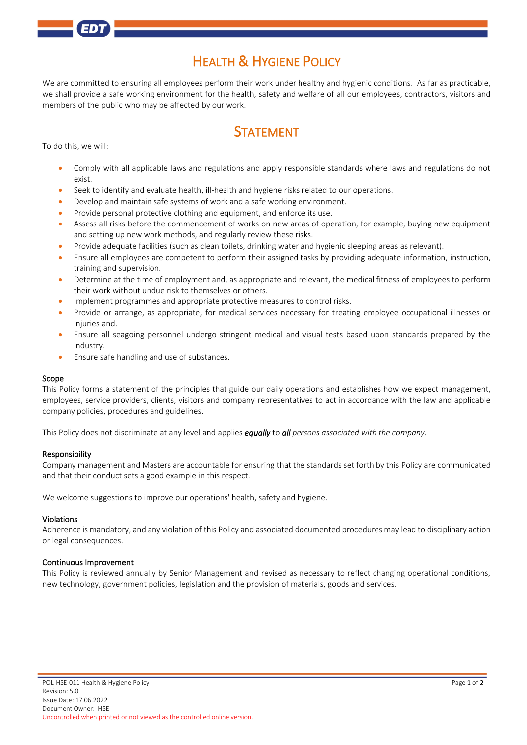# HEALTH & HYGIENE POLICY

We are committed to ensuring all employees perform their work under healthy and hygienic conditions. As far as practicable, we shall provide a safe working environment for the health, safety and welfare of all our employees, contractors, visitors and members of the public who may be affected by our work.

## **STATEMENT**

To do this, we will:

- Comply with all applicable laws and regulations and apply responsible standards where laws and regulations do not exist.
- Seek to identify and evaluate health, ill-health and hygiene risks related to our operations.
- Develop and maintain safe systems of work and a safe working environment.
- Provide personal protective clothing and equipment, and enforce its use.
- Assess all risks before the commencement of works on new areas of operation, for example, buying new equipment and setting up new work methods, and regularly review these risks.
- Provide adequate facilities (such as clean toilets, drinking water and hygienic sleeping areas as relevant).
- Ensure all employees are competent to perform their assigned tasks by providing adequate information, instruction, training and supervision.
- Determine at the time of employment and, as appropriate and relevant, the medical fitness of employees to perform their work without undue risk to themselves or others.
- Implement programmes and appropriate protective measures to control risks.
- Provide or arrange, as appropriate, for medical services necessary for treating employee occupational illnesses or injuries and.
- Ensure all seagoing personnel undergo stringent medical and visual tests based upon standards prepared by the industry.
- Ensure safe handling and use of substances.

#### Scope

This Policy forms a statement of the principles that guide our daily operations and establishes how we expect management, employees, service providers, clients, visitors and company representatives to act in accordance with the law and applicable company policies, procedures and guidelines.

This Policy does not discriminate at any level and applies *equally* to *all persons associated with the company.*

#### Responsibility

Company management and Masters are accountable for ensuring that the standards set forth by this Policy are communicated and that their conduct sets a good example in this respect.

We welcome suggestions to improve our operations' health, safety and hygiene.

#### Violations

Adherence is mandatory, and any violation of this Policy and associated documented procedures may lead to disciplinary action or legal consequences.

#### Continuous Improvement

This Policy is reviewed annually by Senior Management and revised as necessary to reflect changing operational conditions, new technology, government policies, legislation and the provision of materials, goods and services.